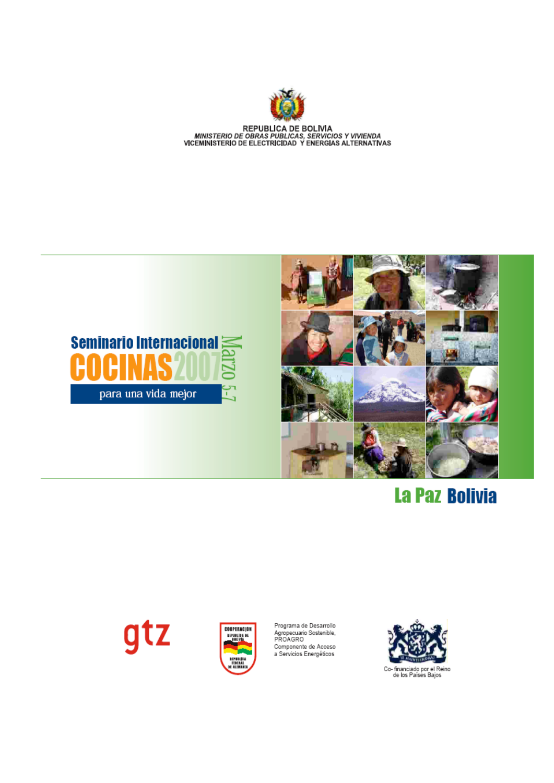

REPUBLICA DE BOLIVIA<br>MINISTERIO DE OBRAS PUBLICAS, SERVICIOS Y VIVIENDA<br>VICEMINISTERIO DE ELECTRICIDAD Y ENERGIAS ALTERNATIVAS





# **La Paz Bolivia**

# gtz



Programa de Desarrollo Agropecuario Sostenible,<br>PROAGRO Componente de Acceso<br>a Servicios Energéticos



Co- financiado por el Reino<br>de los Países Bajos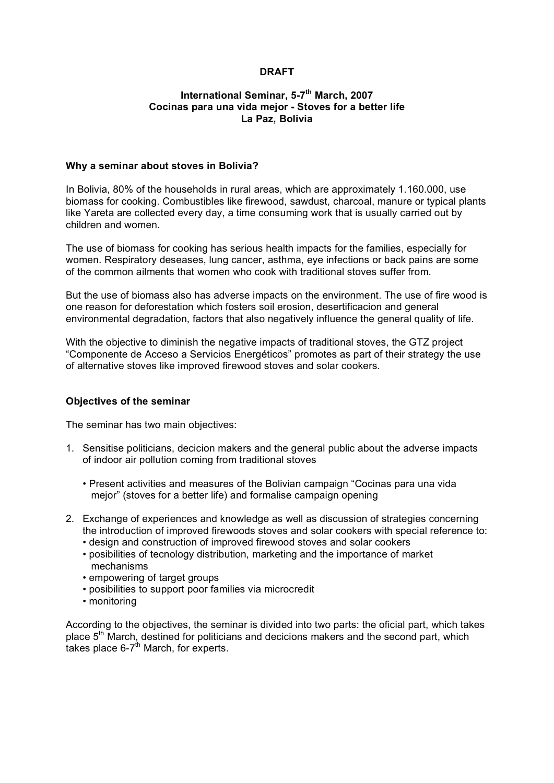# **DRAFT**

#### **International Seminar, 5-7th March, 2007 Cocinas para una vida mejor - Stoves for a better life La Paz, Bolivia**

#### **Why a seminar about stoves in Bolivia?**

In Bolivia, 80% of the households in rural areas, which are approximately 1.160.000, use biomass for cooking. Combustibles like firewood, sawdust, charcoal, manure or typical plants like Yareta are collected every day, a time consuming work that is usually carried out by children and women.

The use of biomass for cooking has serious health impacts for the families, especially for women. Respiratory deseases, lung cancer, asthma, eye infections or back pains are some of the common ailments that women who cook with traditional stoves suffer from.

But the use of biomass also has adverse impacts on the environment. The use of fire wood is one reason for deforestation which fosters soil erosion, desertificacion and general environmental degradation, factors that also negatively influence the general quality of life.

With the objective to diminish the negative impacts of traditional stoves, the GTZ project "Componente de Acceso a Servicios Energéticos" promotes as part of their strategy the use of alternative stoves like improved firewood stoves and solar cookers.

#### **Objectives of the seminar**

The seminar has two main objectives:

- 1. Sensitise politicians, decicion makers and the general public about the adverse impacts of indoor air pollution coming from traditional stoves
	- Present activities and measures of the Bolivian campaign "Cocinas para una vida mejor" (stoves for a better life) and formalise campaign opening
- 2. Exchange of experiences and knowledge as well as discussion of strategies concerning the introduction of improved firewoods stoves and solar cookers with special reference to:
	- design and construction of improved firewood stoves and solar cookers
	- posibilities of tecnology distribution, marketing and the importance of market mechanisms
	- empowering of target groups
	- posibilities to support poor families via microcredit
	- monitoring

According to the objectives, the seminar is divided into two parts: the oficial part, which takes place  $5<sup>th</sup>$  March, destined for politicians and decicions makers and the second part, which takes place  $6-7^{\text{th}}$  March, for experts.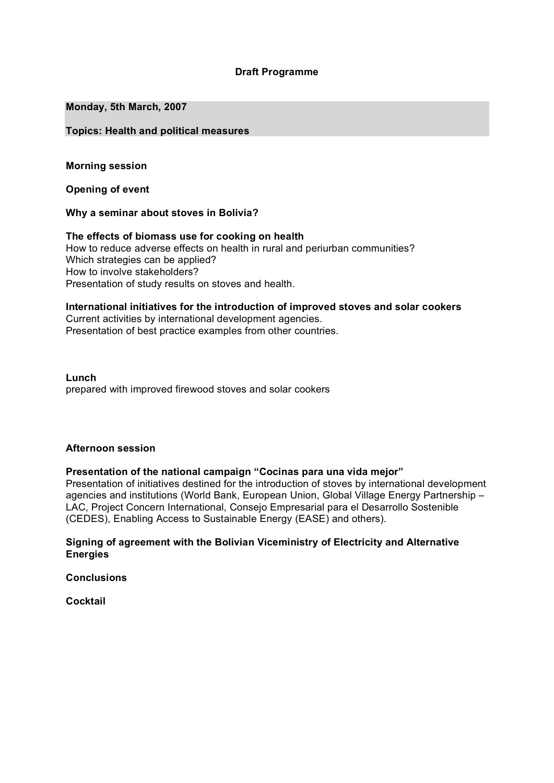### **Draft Programme**

#### **Monday, 5th March, 2007**

#### **Topics: Health and political measures**

**Morning session**

**Opening of event**

**Why a seminar about stoves in Bolivia?**

**The effects of biomass use for cooking on health** How to reduce adverse effects on health in rural and periurban communities? Which strategies can be applied? How to involve stakeholders? Presentation of study results on stoves and health.

**International initiatives for the introduction of improved stoves and solar cookers** Current activities by international development agencies.

Presentation of best practice examples from other countries.

**Lunch** prepared with improved firewood stoves and solar cookers

#### **Afternoon session**

**Presentation of the national campaign "Cocinas para una vida mejor"**

Presentation of initiatives destined for the introduction of stoves by international development agencies and institutions (World Bank, European Union, Global Village Energy Partnership – LAC, Project Concern International, Consejo Empresarial para el Desarrollo Sostenible (CEDES), Enabling Access to Sustainable Energy (EASE) and others).

### **Signing of agreement with the Bolivian Viceministry of Electricity and Alternative Energies**

**Conclusions**

**Cocktail**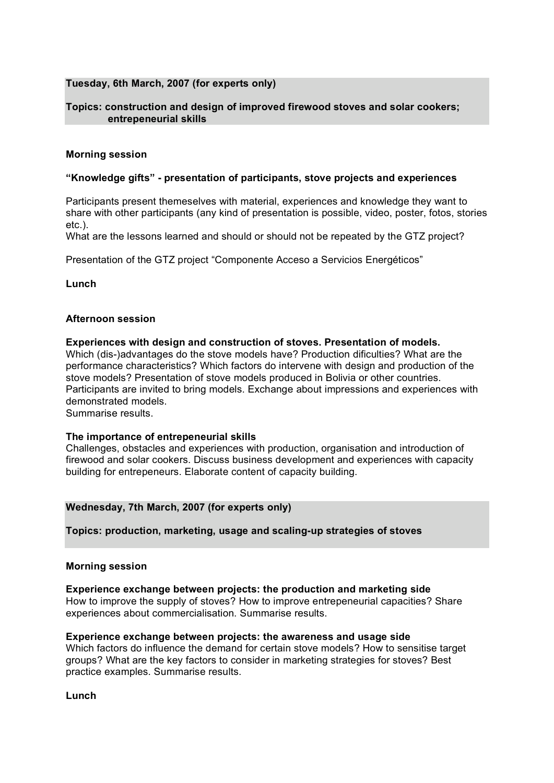### **Tuesday, 6th March, 2007 (for experts only)**

### **Topics: construction and design of improved firewood stoves and solar cookers; entrepeneurial skills**

#### **Morning session**

#### **"Knowledge gifts" - presentation of participants, stove projects and experiences**

Participants present themeselves with material, experiences and knowledge they want to share with other participants (any kind of presentation is possible, video, poster, fotos, stories etc.).

What are the lessons learned and should or should not be repeated by the GTZ project?

Presentation of the GTZ project "Componente Acceso a Servicios Energéticos"

**Lunch**

### **Afternoon session**

**Experiences with design and construction of stoves. Presentation of models.** Which (dis-)advantages do the stove models have? Production dificulties? What are the performance characteristics? Which factors do intervene with design and production of the stove models? Presentation of stove models produced in Bolivia or other countries. Participants are invited to bring models. Exchange about impressions and experiences with demonstrated models. Summarise results.

#### **The importance of entrepeneurial skills**

Challenges, obstacles and experiences with production, organisation and introduction of firewood and solar cookers. Discuss business development and experiences with capacity building for entrepeneurs. Elaborate content of capacity building.

#### **Wednesday, 7th March, 2007 (for experts only)**

**Topics: production, marketing, usage and scaling-up strategies of stoves**

#### **Morning session**

**Experience exchange between projects: the production and marketing side** How to improve the supply of stoves? How to improve entrepeneurial capacities? Share experiences about commercialisation. Summarise results.

#### **Experience exchange between projects: the awareness and usage side**

Which factors do influence the demand for certain stove models? How to sensitise target groups? What are the key factors to consider in marketing strategies for stoves? Best practice examples. Summarise results.

**Lunch**